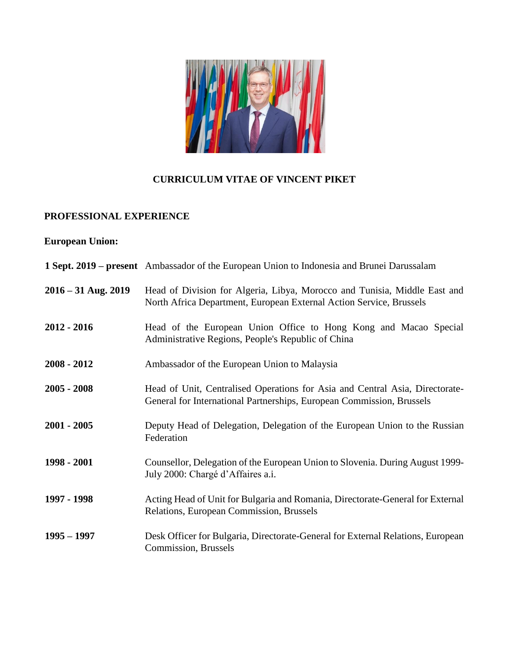

## **CURRICULUM VITAE OF VINCENT PIKET**

### **PROFESSIONAL EXPERIENCE**

# **European Union:**

|                       | 1 Sept. 2019 – present Ambassador of the European Union to Indonesia and Brunei Darussalam                                                            |
|-----------------------|-------------------------------------------------------------------------------------------------------------------------------------------------------|
| $2016 - 31$ Aug. 2019 | Head of Division for Algeria, Libya, Morocco and Tunisia, Middle East and<br>North Africa Department, European External Action Service, Brussels      |
| $2012 - 2016$         | Head of the European Union Office to Hong Kong and Macao Special<br>Administrative Regions, People's Republic of China                                |
| $2008 - 2012$         | Ambassador of the European Union to Malaysia                                                                                                          |
| $2005 - 2008$         | Head of Unit, Centralised Operations for Asia and Central Asia, Directorate-<br>General for International Partnerships, European Commission, Brussels |
| $2001 - 2005$         | Deputy Head of Delegation, Delegation of the European Union to the Russian<br>Federation                                                              |
| 1998 - 2001           | Counsellor, Delegation of the European Union to Slovenia. During August 1999-<br>July 2000: Chargé d'Affaires a.i.                                    |
| 1997 - 1998           | Acting Head of Unit for Bulgaria and Romania, Directorate-General for External<br>Relations, European Commission, Brussels                            |
| $1995 - 1997$         | Desk Officer for Bulgaria, Directorate-General for External Relations, European<br>Commission, Brussels                                               |